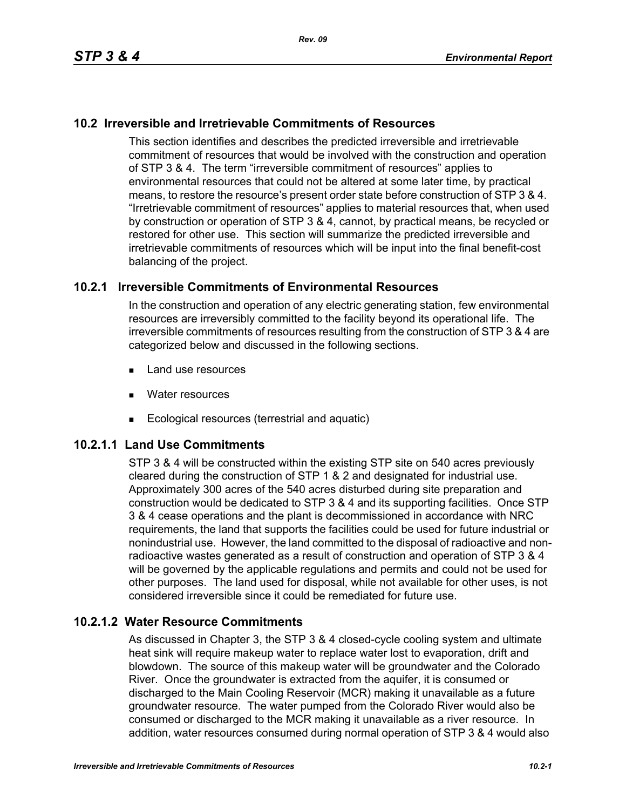## **10.2 Irreversible and Irretrievable Commitments of Resources**

This section identifies and describes the predicted irreversible and irretrievable commitment of resources that would be involved with the construction and operation of STP 3 & 4. The term "irreversible commitment of resources" applies to environmental resources that could not be altered at some later time, by practical means, to restore the resource's present order state before construction of STP 3 & 4. "Irretrievable commitment of resources" applies to material resources that, when used by construction or operation of STP 3 & 4, cannot, by practical means, be recycled or restored for other use. This section will summarize the predicted irreversible and irretrievable commitments of resources which will be input into the final benefit-cost balancing of the project.

## **10.2.1 Irreversible Commitments of Environmental Resources**

In the construction and operation of any electric generating station, few environmental resources are irreversibly committed to the facility beyond its operational life. The irreversible commitments of resources resulting from the construction of STP 3 & 4 are categorized below and discussed in the following sections.

- **Land use resources**
- **Nater resources**
- Ecological resources (terrestrial and aquatic)

## **10.2.1.1 Land Use Commitments**

STP 3 & 4 will be constructed within the existing STP site on 540 acres previously cleared during the construction of STP 1 & 2 and designated for industrial use. Approximately 300 acres of the 540 acres disturbed during site preparation and construction would be dedicated to STP 3 & 4 and its supporting facilities. Once STP 3 & 4 cease operations and the plant is decommissioned in accordance with NRC requirements, the land that supports the facilities could be used for future industrial or nonindustrial use. However, the land committed to the disposal of radioactive and nonradioactive wastes generated as a result of construction and operation of STP 3 & 4 will be governed by the applicable regulations and permits and could not be used for other purposes. The land used for disposal, while not available for other uses, is not considered irreversible since it could be remediated for future use.

#### **10.2.1.2 Water Resource Commitments**

As discussed in Chapter 3, the STP 3 & 4 closed-cycle cooling system and ultimate heat sink will require makeup water to replace water lost to evaporation, drift and blowdown. The source of this makeup water will be groundwater and the Colorado River. Once the groundwater is extracted from the aquifer, it is consumed or discharged to the Main Cooling Reservoir (MCR) making it unavailable as a future groundwater resource. The water pumped from the Colorado River would also be consumed or discharged to the MCR making it unavailable as a river resource. In addition, water resources consumed during normal operation of STP 3 & 4 would also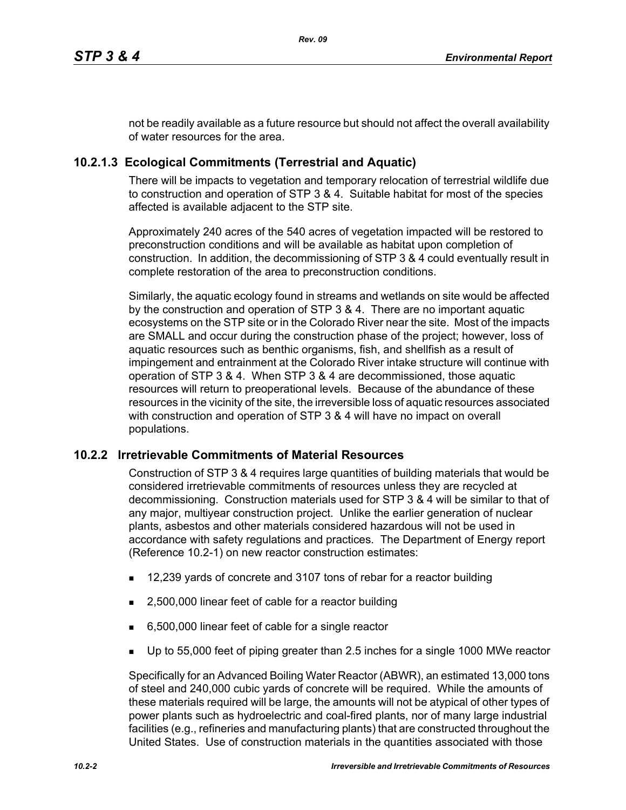not be readily available as a future resource but should not affect the overall availability of water resources for the area.

# **10.2.1.3 Ecological Commitments (Terrestrial and Aquatic)**

There will be impacts to vegetation and temporary relocation of terrestrial wildlife due to construction and operation of STP 3 & 4. Suitable habitat for most of the species affected is available adjacent to the STP site.

Approximately 240 acres of the 540 acres of vegetation impacted will be restored to preconstruction conditions and will be available as habitat upon completion of construction. In addition, the decommissioning of STP 3 & 4 could eventually result in complete restoration of the area to preconstruction conditions.

Similarly, the aquatic ecology found in streams and wetlands on site would be affected by the construction and operation of STP 3 & 4. There are no important aquatic ecosystems on the STP site or in the Colorado River near the site. Most of the impacts are SMALL and occur during the construction phase of the project; however, loss of aquatic resources such as benthic organisms, fish, and shellfish as a result of impingement and entrainment at the Colorado River intake structure will continue with operation of STP 3 & 4. When STP 3 & 4 are decommissioned, those aquatic resources will return to preoperational levels. Because of the abundance of these resources in the vicinity of the site, the irreversible loss of aquatic resources associated with construction and operation of STP 3 & 4 will have no impact on overall populations.

## **10.2.2 Irretrievable Commitments of Material Resources**

Construction of STP 3 & 4 requires large quantities of building materials that would be considered irretrievable commitments of resources unless they are recycled at decommissioning. Construction materials used for STP 3 & 4 will be similar to that of any major, multiyear construction project. Unlike the earlier generation of nuclear plants, asbestos and other materials considered hazardous will not be used in accordance with safety regulations and practices. The Department of Energy report (Reference 10.2-1) on new reactor construction estimates:

- 12,239 yards of concrete and 3107 tons of rebar for a reactor building
- 2,500,000 linear feet of cable for a reactor building
- 6,500,000 linear feet of cable for a single reactor
- Up to 55,000 feet of piping greater than 2.5 inches for a single 1000 MWe reactor

Specifically for an Advanced Boiling Water Reactor (ABWR), an estimated 13,000 tons of steel and 240,000 cubic yards of concrete will be required. While the amounts of these materials required will be large, the amounts will not be atypical of other types of power plants such as hydroelectric and coal-fired plants, nor of many large industrial facilities (e.g., refineries and manufacturing plants) that are constructed throughout the United States. Use of construction materials in the quantities associated with those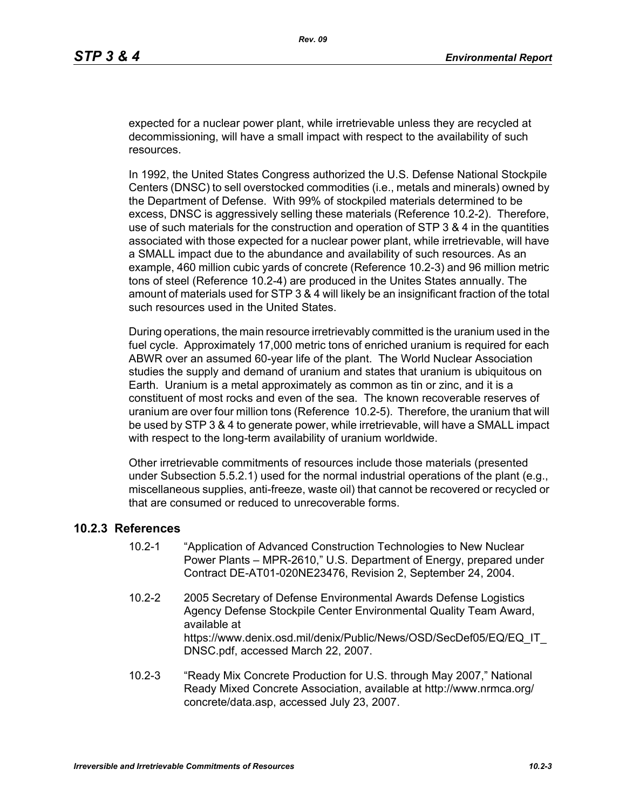expected for a nuclear power plant, while irretrievable unless they are recycled at decommissioning, will have a small impact with respect to the availability of such resources.

In 1992, the United States Congress authorized the U.S. Defense National Stockpile Centers (DNSC) to sell overstocked commodities (i.e., metals and minerals) owned by the Department of Defense. With 99% of stockpiled materials determined to be excess, DNSC is aggressively selling these materials (Reference 10.2-2). Therefore, use of such materials for the construction and operation of STP 3 & 4 in the quantities associated with those expected for a nuclear power plant, while irretrievable, will have a SMALL impact due to the abundance and availability of such resources. As an example, 460 million cubic yards of concrete (Reference 10.2-3) and 96 million metric tons of steel (Reference 10.2-4) are produced in the Unites States annually. The amount of materials used for STP 3 & 4 will likely be an insignificant fraction of the total such resources used in the United States.

During operations, the main resource irretrievably committed is the uranium used in the fuel cycle. Approximately 17,000 metric tons of enriched uranium is required for each ABWR over an assumed 60-year life of the plant. The World Nuclear Association studies the supply and demand of uranium and states that uranium is ubiquitous on Earth. Uranium is a metal approximately as common as tin or zinc, and it is a constituent of most rocks and even of the sea. The known recoverable reserves of uranium are over four million tons (Reference 10.2-5). Therefore, the uranium that will be used by STP 3 & 4 to generate power, while irretrievable, will have a SMALL impact with respect to the long-term availability of uranium worldwide.

Other irretrievable commitments of resources include those materials (presented under Subsection 5.5.2.1) used for the normal industrial operations of the plant (e.g., miscellaneous supplies, anti-freeze, waste oil) that cannot be recovered or recycled or that are consumed or reduced to unrecoverable forms.

#### **10.2.3 References**

- 10.2-1 "Application of Advanced Construction Technologies to New Nuclear Power Plants – MPR-2610," U.S. Department of Energy, prepared under Contract DE-AT01-020NE23476, Revision 2, September 24, 2004.
- 10.2-2 2005 Secretary of Defense Environmental Awards Defense Logistics Agency Defense Stockpile Center Environmental Quality Team Award, available at https://www.denix.osd.mil/denix/Public/News/OSD/SecDef05/EQ/EQ\_IT DNSC.pdf, accessed March 22, 2007.
- 10.2-3 "Ready Mix Concrete Production for U.S. through May 2007," National Ready Mixed Concrete Association, available at http://www.nrmca.org/ concrete/data.asp, accessed July 23, 2007.